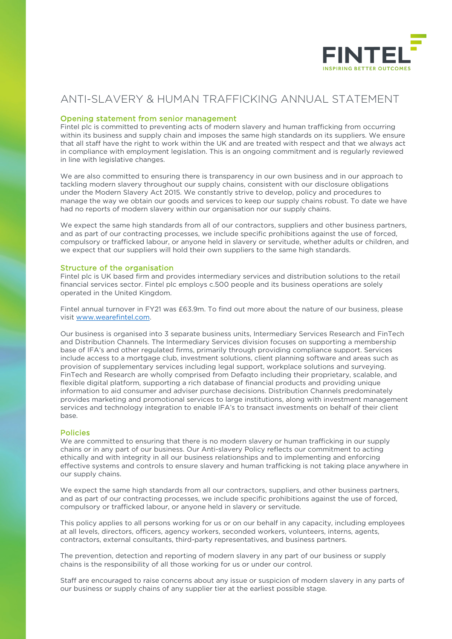

# ANTI-SLAVERY & HUMAN TRAFFICKING ANNUAL STATEMENT

## Opening statement from senior management

Fintel plc is committed to preventing acts of modern slavery and human trafficking from occurring within its business and supply chain and imposes the same high standards on its suppliers. We ensure that all staff have the right to work within the UK and are treated with respect and that we always act in compliance with employment legislation. This is an ongoing commitment and is regularly reviewed in line with legislative changes.

We are also committed to ensuring there is transparency in our own business and in our approach to tackling modern slavery throughout our supply chains, consistent with our disclosure obligations under the Modern Slavery Act 2015. We constantly strive to develop, policy and procedures to manage the way we obtain our goods and services to keep our supply chains robust. To date we have had no reports of modern slavery within our organisation nor our supply chains.

We expect the same high standards from all of our contractors, suppliers and other business partners, and as part of our contracting processes, we include specific prohibitions against the use of forced, compulsory or trafficked labour, or anyone held in slavery or servitude, whether adults or children, and we expect that our suppliers will hold their own suppliers to the same high standards.

## Structure of the organisation

Fintel plc is UK based firm and provides intermediary services and distribution solutions to the retail financial services sector. Fintel plc employs c.500 people and its business operations are solely operated in the United Kingdom.

Fintel annual turnover in FY21 was £63.9m. To find out more about the nature of our business, please visit [www.wearefintel.com.](http://www.wearefintel.com%5D/)

Our business is organised into 3 separate business units, Intermediary Services Research and FinTech and Distribution Channels. The Intermediary Services division focuses on supporting a membership base of IFA's and other regulated firms, primarily through providing compliance support. Services include access to a mortgage club, investment solutions, client planning software and areas such as provision of supplementary services including legal support, workplace solutions and surveying. FinTech and Research are wholly comprised from Defaqto including their proprietary, scalable, and flexible digital platform, supporting a rich database of financial products and providing unique information to aid consumer and adviser purchase decisions. Distribution Channels predominately provides marketing and promotional services to large institutions, along with investment management services and technology integration to enable IFA's to transact investments on behalf of their client base.

### Policies

We are committed to ensuring that there is no modern slavery or human trafficking in our supply chains or in any part of our business. Our Anti-slavery Policy reflects our commitment to acting ethically and with integrity in all our business relationships and to implementing and enforcing effective systems and controls to ensure slavery and human trafficking is not taking place anywhere in our supply chains.

We expect the same high standards from all our contractors, suppliers, and other business partners, and as part of our contracting processes, we include specific prohibitions against the use of forced, compulsory or trafficked labour, or anyone held in slavery or servitude.

at all levels, directors, officers, agency workers, seconded workers, volunteers, interns, agents, This policy applies to all persons working for us or on our behalf in any capacity, including employees contractors, external consultants, third-party representatives, and business partners.

The prevention, detection and reporting of modern slavery in any part of our business or supply chains is the responsibility of all those working for us or under our control.

 $m \times n$ Staff are encouraged to raise concerns about any issue or suspicion of modern slavery in any parts of our business or supply chains of any supplier tier at the earliest possible stage.